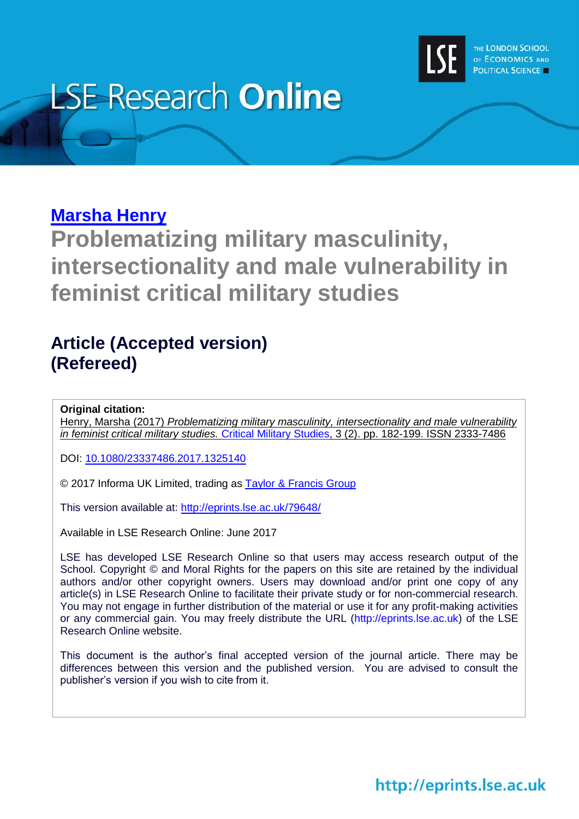

# **LSE Research Online**

# **[Marsha Henry](http://www.lse.ac.uk/researchAndExpertise/Experts/profile.aspx?KeyValue=m.g.henry@lse.ac.uk)**

**Problematizing military masculinity, intersectionality and male vulnerability in feminist critical military studies**

## **Article (Accepted version) (Refereed)**

**Original citation:**

Henry, Marsha (2017) *Problematizing military masculinity, intersectionality and male vulnerability in feminist critical military studies.* [Critical Military Studies,](http://www.tandfonline.com/toc/rcms20/current) 3 (2). pp. 182-199. ISSN 2333-7486

DOI: [10.1080/23337486.2017.1325140](http://doi.org/10.1080/23337486.2017.1325140)

© 2017 Informa UK Limited, trading as [Taylor & Francis Group](http://taylorandfrancis.com/)

This version available at:<http://eprints.lse.ac.uk/79648/>

Available in LSE Research Online: June 2017

LSE has developed LSE Research Online so that users may access research output of the School. Copyright © and Moral Rights for the papers on this site are retained by the individual authors and/or other copyright owners. Users may download and/or print one copy of any article(s) in LSE Research Online to facilitate their private study or for non-commercial research. You may not engage in further distribution of the material or use it for any profit-making activities or any commercial gain. You may freely distribute the URL (http://eprints.lse.ac.uk) of the LSE Research Online website.

This document is the author's final accepted version of the journal article. There may be differences between this version and the published version. You are advised to consult the publisher's version if you wish to cite from it.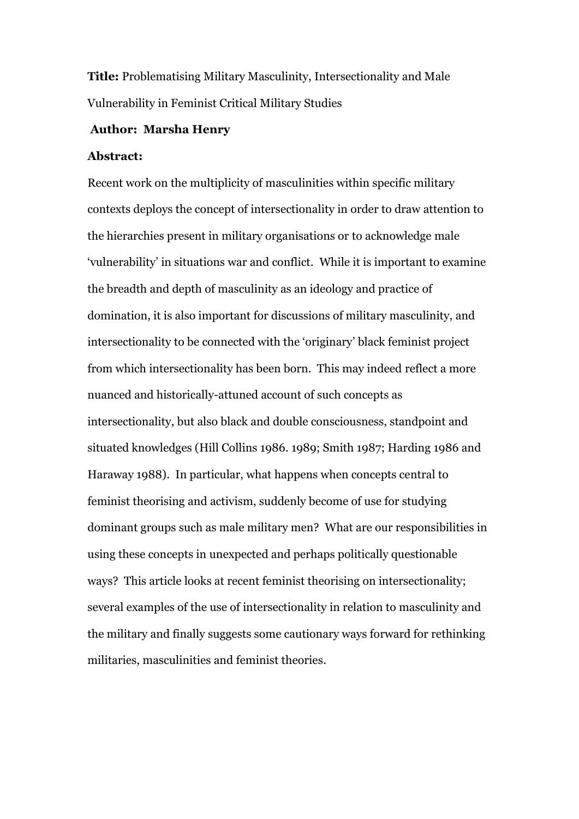**Title:** Problematising Military Masculinity, Intersectionality and Male Vulnerability in Feminist Critical Military Studies

#### **Author: Marsha Henry**

#### **Abstract:**

Recent work on the multiplicity of masculinities within specific military contexts deploys the concept of intersectionality in order to draw attention to the hierarchies present in military organisations or to acknowledge male 'vulnerability' in situations war and conflict. While it is important to examine the breadth and depth of masculinity as an ideology and practice of domination, it is also important for discussions of military masculinity, and intersectionality to be connected with the 'originary' black feminist project from which intersectionality has been born. This may indeed reflect a more nuanced and historically-attuned account of such concepts as intersectionality, but also black and double consciousness, standpoint and situated knowledges (Hill Collins 1986. 1989; Smith 1987; Harding 1986 and Haraway 1988). In particular, what happens when concepts central to feminist theorising and activism, suddenly become of use for studying dominant groups such as male military men? What are our responsibilities in using these concepts in unexpected and perhaps politically questionable ways? This article looks at recent feminist theorising on intersectionality; several examples of the use of intersectionality in relation to masculinity and the military and finally suggests some cautionary ways forward for rethinking militaries, masculinities and feminist theories.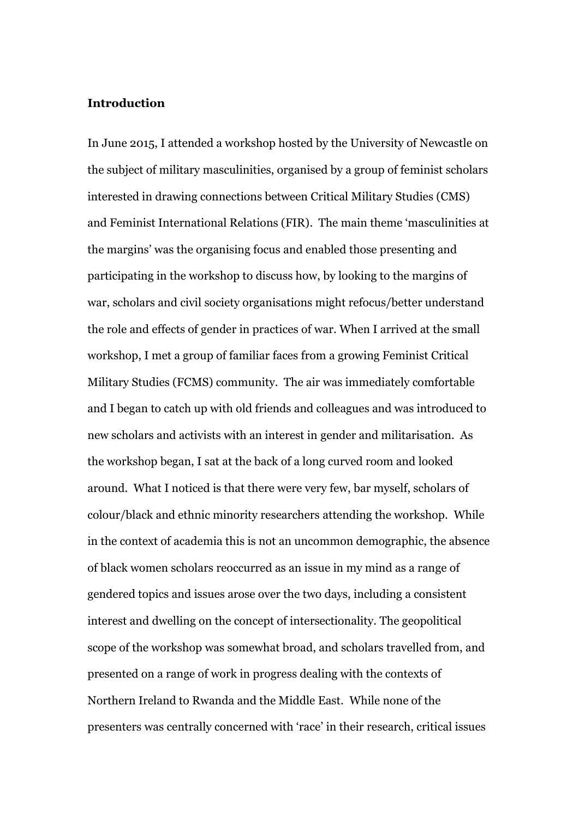#### **Introduction**

In June 2015, I attended a workshop hosted by the University of Newcastle on the subject of military masculinities, organised by a group of feminist scholars interested in drawing connections between Critical Military Studies (CMS) and Feminist International Relations (FIR). The main theme 'masculinities at the margins' was the organising focus and enabled those presenting and participating in the workshop to discuss how, by looking to the margins of war, scholars and civil society organisations might refocus/better understand the role and effects of gender in practices of war. When I arrived at the small workshop, I met a group of familiar faces from a growing Feminist Critical Military Studies (FCMS) community. The air was immediately comfortable and I began to catch up with old friends and colleagues and was introduced to new scholars and activists with an interest in gender and militarisation. As the workshop began, I sat at the back of a long curved room and looked around. What I noticed is that there were very few, bar myself, scholars of colour/black and ethnic minority researchers attending the workshop. While in the context of academia this is not an uncommon demographic, the absence of black women scholars reoccurred as an issue in my mind as a range of gendered topics and issues arose over the two days, including a consistent interest and dwelling on the concept of intersectionality. The geopolitical scope of the workshop was somewhat broad, and scholars travelled from, and presented on a range of work in progress dealing with the contexts of Northern Ireland to Rwanda and the Middle East. While none of the presenters was centrally concerned with 'race' in their research, critical issues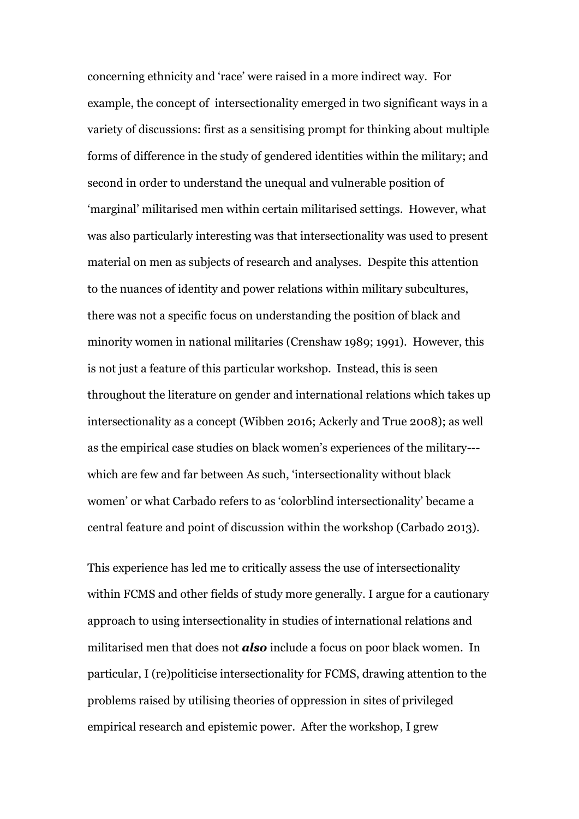concerning ethnicity and 'race' were raised in a more indirect way. For example, the concept of intersectionality emerged in two significant ways in a variety of discussions: first as a sensitising prompt for thinking about multiple forms of difference in the study of gendered identities within the military; and second in order to understand the unequal and vulnerable position of 'marginal' militarised men within certain militarised settings. However, what was also particularly interesting was that intersectionality was used to present material on men as subjects of research and analyses. Despite this attention to the nuances of identity and power relations within military subcultures, there was not a specific focus on understanding the position of black and minority women in national militaries (Crenshaw 1989; 1991). However, this is not just a feature of this particular workshop. Instead, this is seen throughout the literature on gender and international relations which takes up intersectionality as a concept (Wibben 2016; Ackerly and True 2008); as well as the empirical case studies on black women's experiences of the military-- which are few and far between As such, 'intersectionality without black women' or what Carbado refers to as 'colorblind intersectionality' became a central feature and point of discussion within the workshop (Carbado 2013).

This experience has led me to critically assess the use of intersectionality within FCMS and other fields of study more generally. I argue for a cautionary approach to using intersectionality in studies of international relations and militarised men that does not *also* include a focus on poor black women. In particular, I (re)politicise intersectionality for FCMS, drawing attention to the problems raised by utilising theories of oppression in sites of privileged empirical research and epistemic power. After the workshop, I grew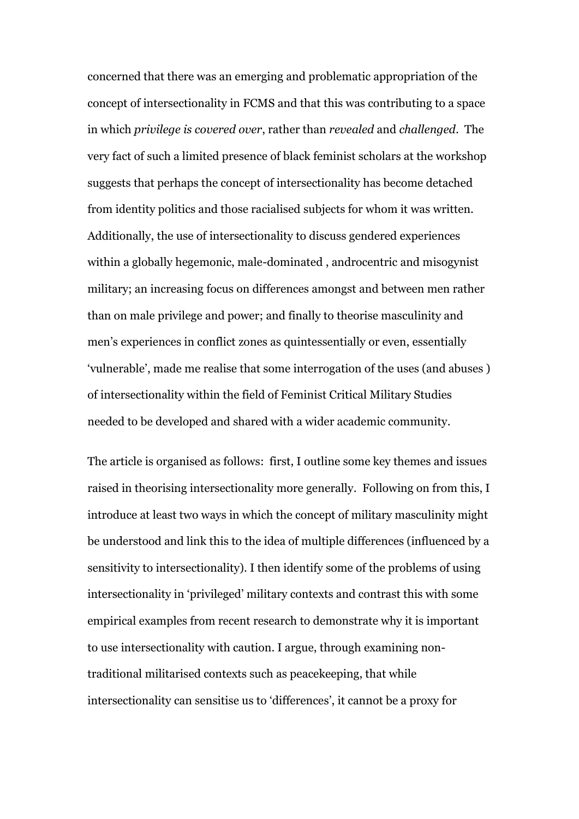concerned that there was an emerging and problematic appropriation of the concept of intersectionality in FCMS and that this was contributing to a space in which *privilege is covered over*, rather than *revealed* and *challenged*. The very fact of such a limited presence of black feminist scholars at the workshop suggests that perhaps the concept of intersectionality has become detached from identity politics and those racialised subjects for whom it was written. Additionally, the use of intersectionality to discuss gendered experiences within a globally hegemonic, male-dominated , androcentric and misogynist military; an increasing focus on differences amongst and between men rather than on male privilege and power; and finally to theorise masculinity and men's experiences in conflict zones as quintessentially or even, essentially 'vulnerable', made me realise that some interrogation of the uses (and abuses ) of intersectionality within the field of Feminist Critical Military Studies needed to be developed and shared with a wider academic community.

The article is organised as follows: first, I outline some key themes and issues raised in theorising intersectionality more generally. Following on from this, I introduce at least two ways in which the concept of military masculinity might be understood and link this to the idea of multiple differences (influenced by a sensitivity to intersectionality). I then identify some of the problems of using intersectionality in 'privileged' military contexts and contrast this with some empirical examples from recent research to demonstrate why it is important to use intersectionality with caution. I argue, through examining nontraditional militarised contexts such as peacekeeping, that while intersectionality can sensitise us to 'differences', it cannot be a proxy for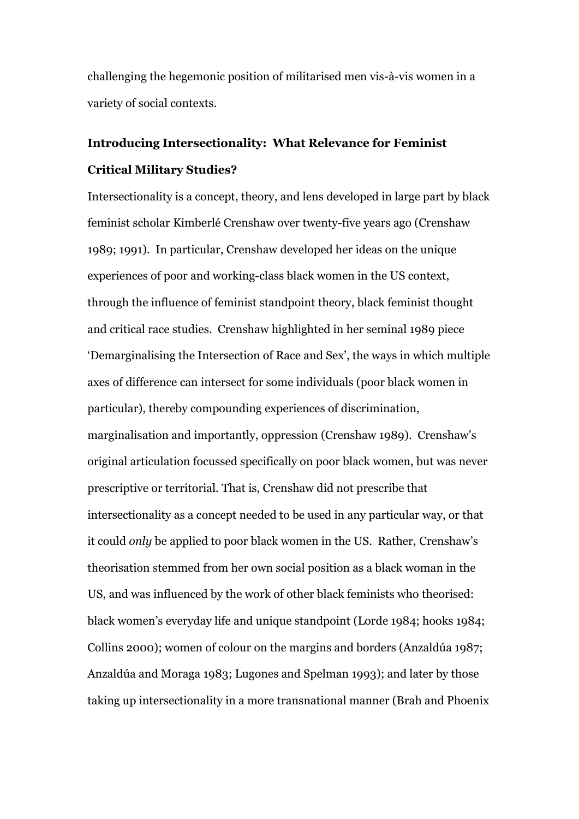challenging the hegemonic position of militarised men vis-à-vis women in a variety of social contexts.

## **Introducing Intersectionality: What Relevance for Feminist Critical Military Studies?**

Intersectionality is a concept, theory, and lens developed in large part by black feminist scholar Kimberlé Crenshaw over twenty-five years ago (Crenshaw 1989; 1991). In particular, Crenshaw developed her ideas on the unique experiences of poor and working-class black women in the US context, through the influence of feminist standpoint theory, black feminist thought and critical race studies. Crenshaw highlighted in her seminal 1989 piece 'Demarginalising the Intersection of Race and Sex', the ways in which multiple axes of difference can intersect for some individuals (poor black women in particular), thereby compounding experiences of discrimination, marginalisation and importantly, oppression (Crenshaw 1989). Crenshaw's original articulation focussed specifically on poor black women, but was never prescriptive or territorial. That is, Crenshaw did not prescribe that intersectionality as a concept needed to be used in any particular way, or that it could *only* be applied to poor black women in the US. Rather, Crenshaw's theorisation stemmed from her own social position as a black woman in the US, and was influenced by the work of other black feminists who theorised: black women's everyday life and unique standpoint (Lorde 1984; hooks 1984; Collins 2000); women of colour on the margins and borders (Anzaldúa 1987; Anzaldúa and Moraga 1983; Lugones and Spelman 1993); and later by those taking up intersectionality in a more transnational manner (Brah and Phoenix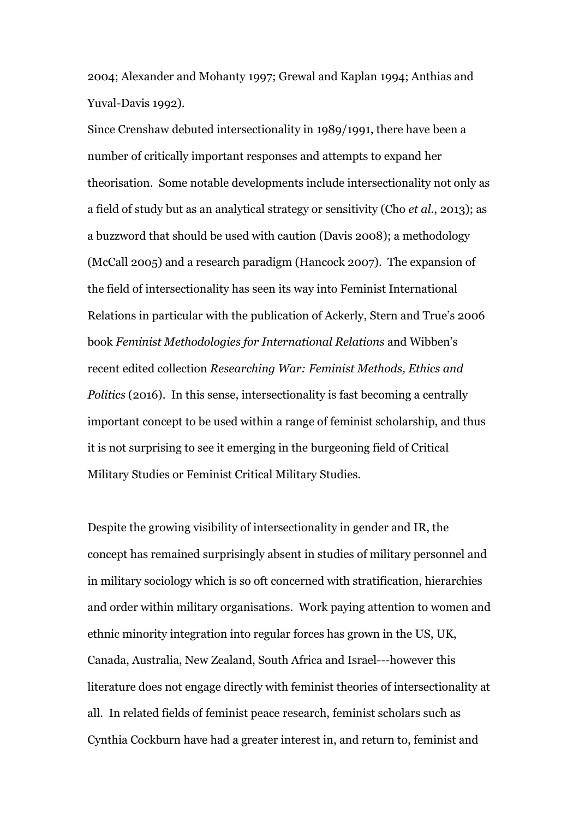2004; Alexander and Mohanty 1997; Grewal and Kaplan 1994; Anthias and Yuval-Davis 1992).

Since Crenshaw debuted intersectionality in 1989/1991, there have been a number of critically important responses and attempts to expand her theorisation. Some notable developments include intersectionality not only as a field of study but as an analytical strategy or sensitivity (Cho *et al*., 2013); as a buzzword that should be used with caution (Davis 2008); a methodology (McCall 2005) and a research paradigm (Hancock 2007). The expansion of the field of intersectionality has seen its way into Feminist International Relations in particular with the publication of Ackerly, Stern and True's 2006 book *Feminist Methodologies for International Relations* and Wibben's recent edited collection *Researching War: Feminist Methods, Ethics and Politics* (2016). In this sense, intersectionality is fast becoming a centrally important concept to be used within a range of feminist scholarship, and thus it is not surprising to see it emerging in the burgeoning field of Critical Military Studies or Feminist Critical Military Studies.

Despite the growing visibility of intersectionality in gender and IR, the concept has remained surprisingly absent in studies of military personnel and in military sociology which is so oft concerned with stratification, hierarchies and order within military organisations. Work paying attention to women and ethnic minority integration into regular forces has grown in the US, UK, Canada, Australia, New Zealand, South Africa and Israel---however this literature does not engage directly with feminist theories of intersectionality at all. In related fields of feminist peace research, feminist scholars such as Cynthia Cockburn have had a greater interest in, and return to, feminist and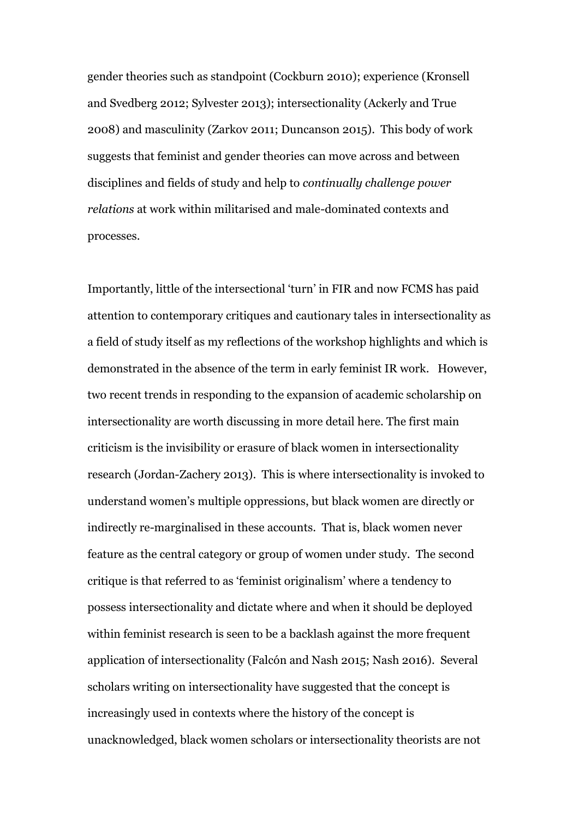gender theories such as standpoint (Cockburn 2010); experience (Kronsell and Svedberg 2012; Sylvester 2013); intersectionality (Ackerly and True 2008) and masculinity (Zarkov 2011; Duncanson 2015). This body of work suggests that feminist and gender theories can move across and between disciplines and fields of study and help to *continually challenge power relations* at work within militarised and male-dominated contexts and processes.

Importantly, little of the intersectional 'turn' in FIR and now FCMS has paid attention to contemporary critiques and cautionary tales in intersectionality as a field of study itself as my reflections of the workshop highlights and which is demonstrated in the absence of the term in early feminist IR work. However, two recent trends in responding to the expansion of academic scholarship on intersectionality are worth discussing in more detail here. The first main criticism is the invisibility or erasure of black women in intersectionality research (Jordan-Zachery 2013). This is where intersectionality is invoked to understand women's multiple oppressions, but black women are directly or indirectly re-marginalised in these accounts. That is, black women never feature as the central category or group of women under study. The second critique is that referred to as 'feminist originalism' where a tendency to possess intersectionality and dictate where and when it should be deployed within feminist research is seen to be a backlash against the more frequent application of intersectionality (Falcón and Nash 2015; Nash 2016). Several scholars writing on intersectionality have suggested that the concept is increasingly used in contexts where the history of the concept is unacknowledged, black women scholars or intersectionality theorists are not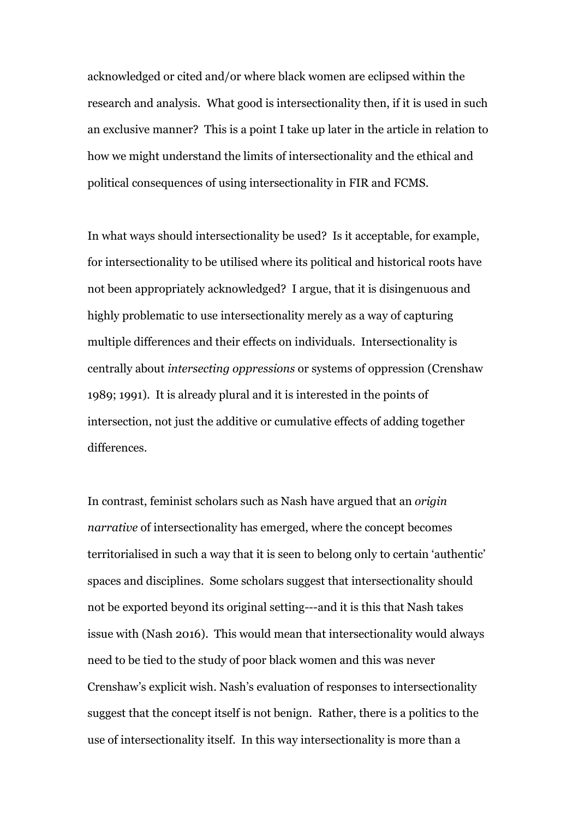acknowledged or cited and/or where black women are eclipsed within the research and analysis. What good is intersectionality then, if it is used in such an exclusive manner? This is a point I take up later in the article in relation to how we might understand the limits of intersectionality and the ethical and political consequences of using intersectionality in FIR and FCMS.

In what ways should intersectionality be used? Is it acceptable, for example, for intersectionality to be utilised where its political and historical roots have not been appropriately acknowledged? I argue, that it is disingenuous and highly problematic to use intersectionality merely as a way of capturing multiple differences and their effects on individuals. Intersectionality is centrally about *intersecting oppressions* or systems of oppression (Crenshaw 1989; 1991). It is already plural and it is interested in the points of intersection, not just the additive or cumulative effects of adding together differences.

In contrast, feminist scholars such as Nash have argued that an *origin narrative* of intersectionality has emerged, where the concept becomes territorialised in such a way that it is seen to belong only to certain 'authentic' spaces and disciplines. Some scholars suggest that intersectionality should not be exported beyond its original setting---and it is this that Nash takes issue with (Nash 2016). This would mean that intersectionality would always need to be tied to the study of poor black women and this was never Crenshaw's explicit wish. Nash's evaluation of responses to intersectionality suggest that the concept itself is not benign. Rather, there is a politics to the use of intersectionality itself. In this way intersectionality is more than a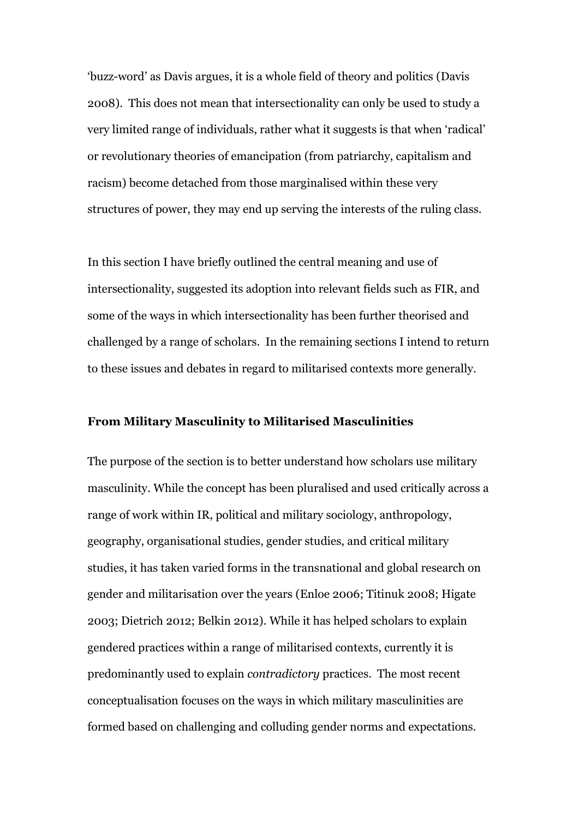'buzz-word' as Davis argues, it is a whole field of theory and politics (Davis 2008). This does not mean that intersectionality can only be used to study a very limited range of individuals, rather what it suggests is that when 'radical' or revolutionary theories of emancipation (from patriarchy, capitalism and racism) become detached from those marginalised within these very structures of power, they may end up serving the interests of the ruling class.

In this section I have briefly outlined the central meaning and use of intersectionality, suggested its adoption into relevant fields such as FIR, and some of the ways in which intersectionality has been further theorised and challenged by a range of scholars. In the remaining sections I intend to return to these issues and debates in regard to militarised contexts more generally.

### **From Military Masculinity to Militarised Masculinities**

The purpose of the section is to better understand how scholars use military masculinity. While the concept has been pluralised and used critically across a range of work within IR, political and military sociology, anthropology, geography, organisational studies, gender studies, and critical military studies, it has taken varied forms in the transnational and global research on gender and militarisation over the years (Enloe 2006; Titinuk 2008; Higate 2003; Dietrich 2012; Belkin 2012). While it has helped scholars to explain gendered practices within a range of militarised contexts, currently it is predominantly used to explain *contradictory* practices. The most recent conceptualisation focuses on the ways in which military masculinities are formed based on challenging and colluding gender norms and expectations.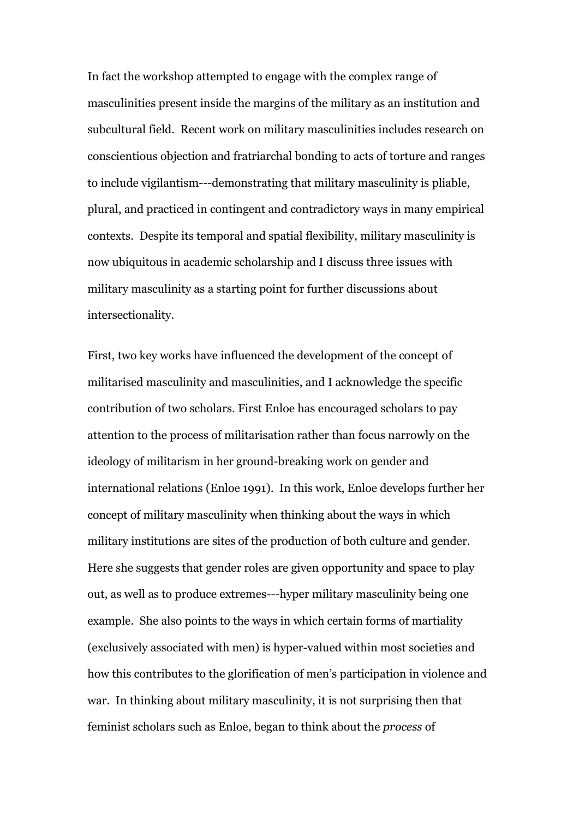In fact the workshop attempted to engage with the complex range of masculinities present inside the margins of the military as an institution and subcultural field. Recent work on military masculinities includes research on conscientious objection and fratriarchal bonding to acts of torture and ranges to include vigilantism---demonstrating that military masculinity is pliable, plural, and practiced in contingent and contradictory ways in many empirical contexts. Despite its temporal and spatial flexibility, military masculinity is now ubiquitous in academic scholarship and I discuss three issues with military masculinity as a starting point for further discussions about intersectionality.

First, two key works have influenced the development of the concept of militarised masculinity and masculinities, and I acknowledge the specific contribution of two scholars. First Enloe has encouraged scholars to pay attention to the process of militarisation rather than focus narrowly on the ideology of militarism in her ground-breaking work on gender and international relations (Enloe 1991). In this work, Enloe develops further her concept of military masculinity when thinking about the ways in which military institutions are sites of the production of both culture and gender. Here she suggests that gender roles are given opportunity and space to play out, as well as to produce extremes---hyper military masculinity being one example. She also points to the ways in which certain forms of martiality (exclusively associated with men) is hyper-valued within most societies and how this contributes to the glorification of men's participation in violence and war. In thinking about military masculinity, it is not surprising then that feminist scholars such as Enloe, began to think about the *process* of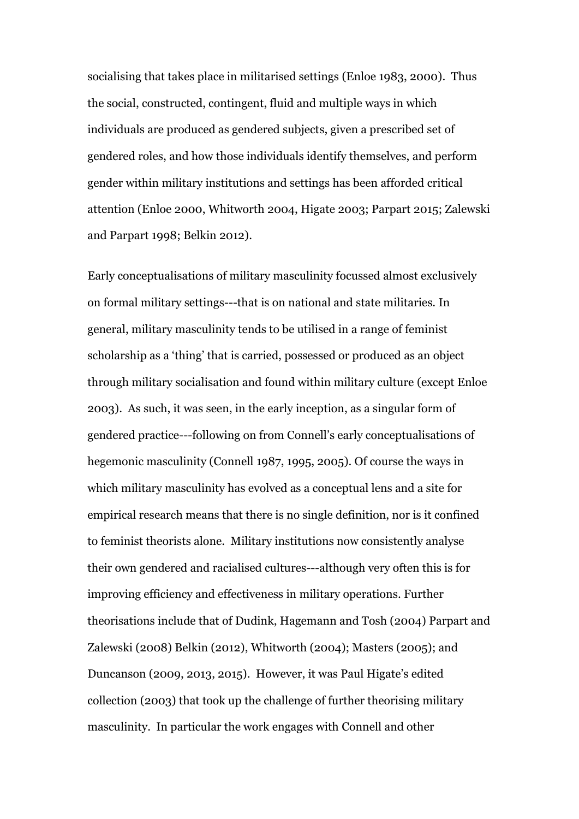socialising that takes place in militarised settings (Enloe 1983, 2000). Thus the social, constructed, contingent, fluid and multiple ways in which individuals are produced as gendered subjects, given a prescribed set of gendered roles, and how those individuals identify themselves, and perform gender within military institutions and settings has been afforded critical attention (Enloe 2000, Whitworth 2004, Higate 2003; Parpart 2015; Zalewski and Parpart 1998; Belkin 2012).

Early conceptualisations of military masculinity focussed almost exclusively on formal military settings---that is on national and state militaries. In general, military masculinity tends to be utilised in a range of feminist scholarship as a 'thing' that is carried, possessed or produced as an object through military socialisation and found within military culture (except Enloe 2003). As such, it was seen, in the early inception, as a singular form of gendered practice---following on from Connell's early conceptualisations of hegemonic masculinity (Connell 1987, 1995, 2005). Of course the ways in which military masculinity has evolved as a conceptual lens and a site for empirical research means that there is no single definition, nor is it confined to feminist theorists alone. Military institutions now consistently analyse their own gendered and racialised cultures---although very often this is for improving efficiency and effectiveness in military operations. Further theorisations include that of Dudink, Hagemann and Tosh (2004) Parpart and Zalewski (2008) Belkin (2012), Whitworth (2004); Masters (2005); and Duncanson (2009, 2013, 2015). However, it was Paul Higate's edited collection (2003) that took up the challenge of further theorising military masculinity. In particular the work engages with Connell and other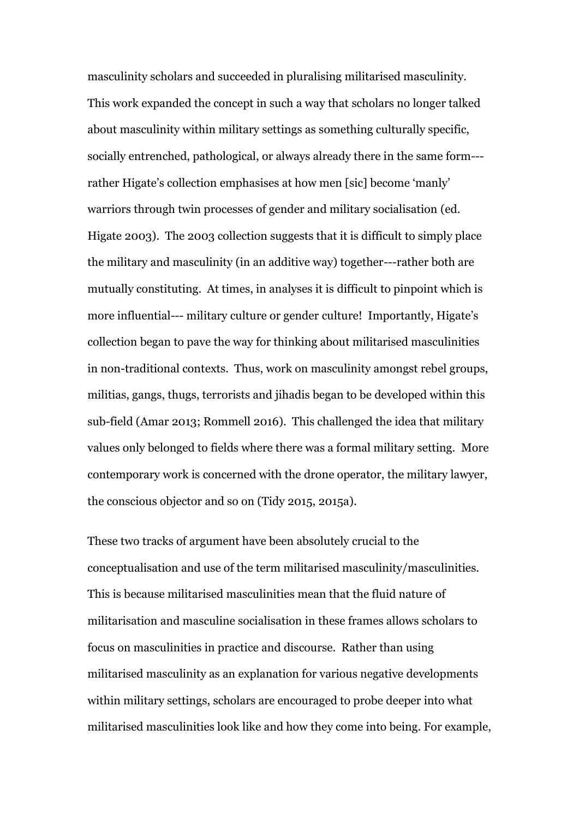masculinity scholars and succeeded in pluralising militarised masculinity. This work expanded the concept in such a way that scholars no longer talked about masculinity within military settings as something culturally specific, socially entrenched, pathological, or always already there in the same form-- rather Higate's collection emphasises at how men [sic] become 'manly' warriors through twin processes of gender and military socialisation (ed. Higate 2003). The 2003 collection suggests that it is difficult to simply place the military and masculinity (in an additive way) together---rather both are mutually constituting. At times, in analyses it is difficult to pinpoint which is more influential--- military culture or gender culture! Importantly, Higate's collection began to pave the way for thinking about militarised masculinities in non-traditional contexts. Thus, work on masculinity amongst rebel groups, militias, gangs, thugs, terrorists and jihadis began to be developed within this sub-field (Amar 2013; Rommell 2016). This challenged the idea that military values only belonged to fields where there was a formal military setting. More contemporary work is concerned with the drone operator, the military lawyer, the conscious objector and so on (Tidy 2015, 2015a).

These two tracks of argument have been absolutely crucial to the conceptualisation and use of the term militarised masculinity/masculinities. This is because militarised masculinities mean that the fluid nature of militarisation and masculine socialisation in these frames allows scholars to focus on masculinities in practice and discourse. Rather than using militarised masculinity as an explanation for various negative developments within military settings, scholars are encouraged to probe deeper into what militarised masculinities look like and how they come into being. For example,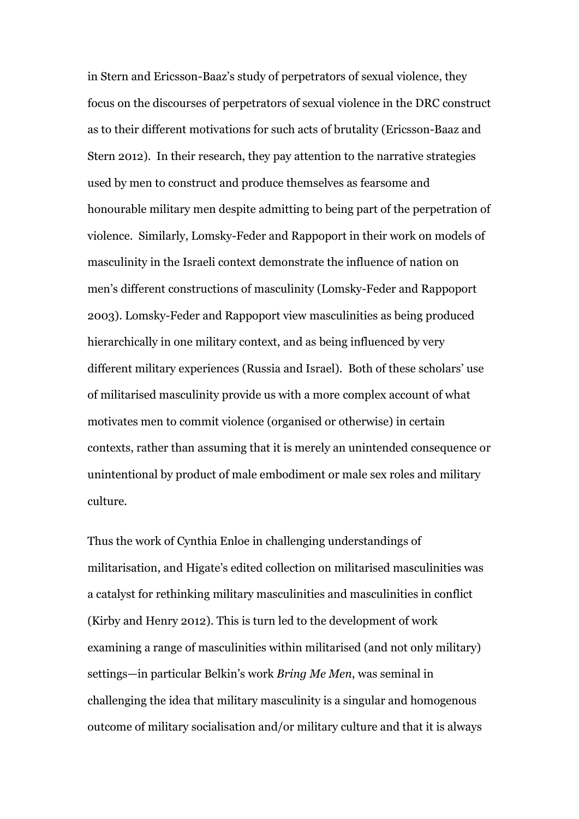in Stern and Ericsson-Baaz's study of perpetrators of sexual violence, they focus on the discourses of perpetrators of sexual violence in the DRC construct as to their different motivations for such acts of brutality (Ericsson-Baaz and Stern 2012). In their research, they pay attention to the narrative strategies used by men to construct and produce themselves as fearsome and honourable military men despite admitting to being part of the perpetration of violence. Similarly, Lomsky-Feder and Rappoport in their work on models of masculinity in the Israeli context demonstrate the influence of nation on men's different constructions of masculinity (Lomsky-Feder and Rappoport 2003). Lomsky-Feder and Rappoport view masculinities as being produced hierarchically in one military context, and as being influenced by very different military experiences (Russia and Israel). Both of these scholars' use of militarised masculinity provide us with a more complex account of what motivates men to commit violence (organised or otherwise) in certain contexts, rather than assuming that it is merely an unintended consequence or unintentional by product of male embodiment or male sex roles and military culture.

Thus the work of Cynthia Enloe in challenging understandings of militarisation, and Higate's edited collection on militarised masculinities was a catalyst for rethinking military masculinities and masculinities in conflict (Kirby and Henry 2012). This is turn led to the development of work examining a range of masculinities within militarised (and not only military) settings—in particular Belkin's work *Bring Me Men*, was seminal in challenging the idea that military masculinity is a singular and homogenous outcome of military socialisation and/or military culture and that it is always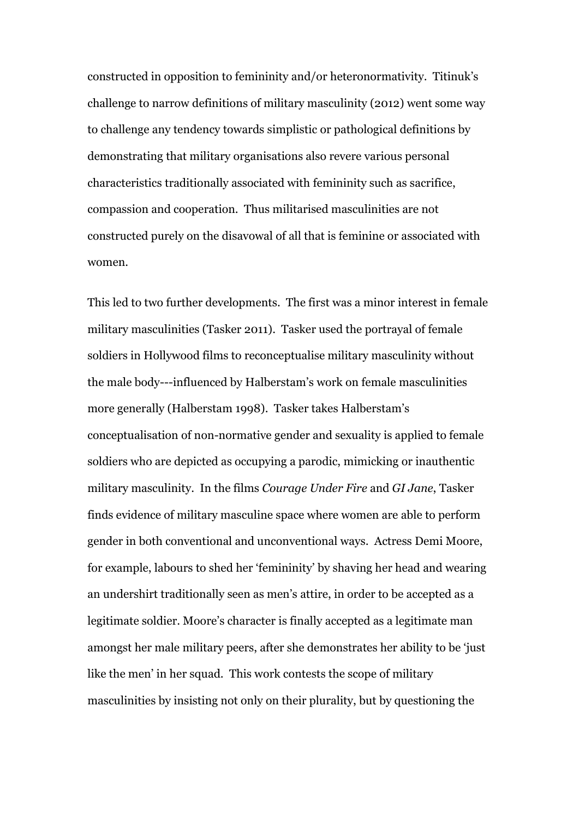constructed in opposition to femininity and/or heteronormativity. Titinuk's challenge to narrow definitions of military masculinity (2012) went some way to challenge any tendency towards simplistic or pathological definitions by demonstrating that military organisations also revere various personal characteristics traditionally associated with femininity such as sacrifice, compassion and cooperation. Thus militarised masculinities are not constructed purely on the disavowal of all that is feminine or associated with women.

This led to two further developments. The first was a minor interest in female military masculinities (Tasker 2011). Tasker used the portrayal of female soldiers in Hollywood films to reconceptualise military masculinity without the male body---influenced by Halberstam's work on female masculinities more generally (Halberstam 1998). Tasker takes Halberstam's conceptualisation of non-normative gender and sexuality is applied to female soldiers who are depicted as occupying a parodic, mimicking or inauthentic military masculinity. In the films *Courage Under Fire* and *GI Jane*, Tasker finds evidence of military masculine space where women are able to perform gender in both conventional and unconventional ways. Actress Demi Moore, for example, labours to shed her 'femininity' by shaving her head and wearing an undershirt traditionally seen as men's attire, in order to be accepted as a legitimate soldier. Moore's character is finally accepted as a legitimate man amongst her male military peers, after she demonstrates her ability to be 'just like the men' in her squad. This work contests the scope of military masculinities by insisting not only on their plurality, but by questioning the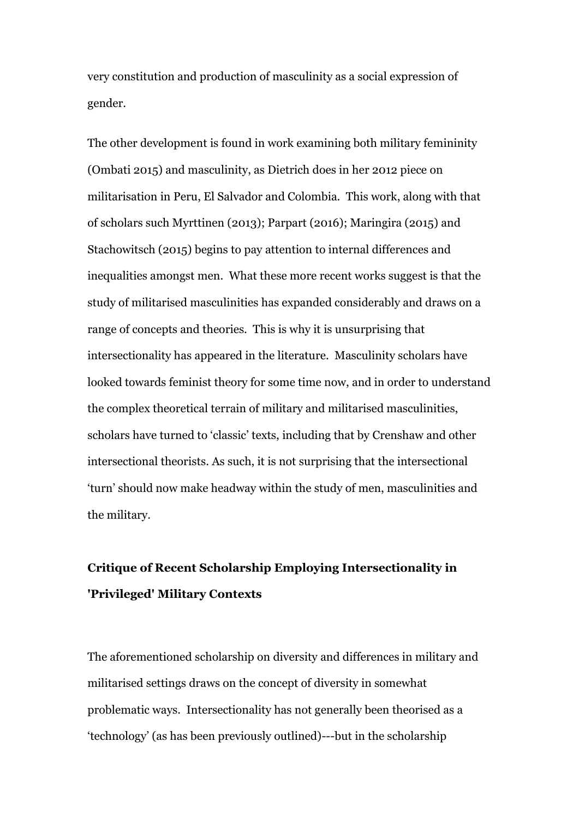very constitution and production of masculinity as a social expression of gender.

The other development is found in work examining both military femininity (Ombati 2015) and masculinity, as Dietrich does in her 2012 piece on militarisation in Peru, El Salvador and Colombia. This work, along with that of scholars such Myrttinen (2013); Parpart (2016); Maringira (2015) and Stachowitsch (2015) begins to pay attention to internal differences and inequalities amongst men. What these more recent works suggest is that the study of militarised masculinities has expanded considerably and draws on a range of concepts and theories. This is why it is unsurprising that intersectionality has appeared in the literature. Masculinity scholars have looked towards feminist theory for some time now, and in order to understand the complex theoretical terrain of military and militarised masculinities, scholars have turned to 'classic' texts, including that by Crenshaw and other intersectional theorists. As such, it is not surprising that the intersectional 'turn' should now make headway within the study of men, masculinities and the military.

## **Critique of Recent Scholarship Employing Intersectionality in 'Privileged' Military Contexts**

The aforementioned scholarship on diversity and differences in military and militarised settings draws on the concept of diversity in somewhat problematic ways. Intersectionality has not generally been theorised as a 'technology' (as has been previously outlined)---but in the scholarship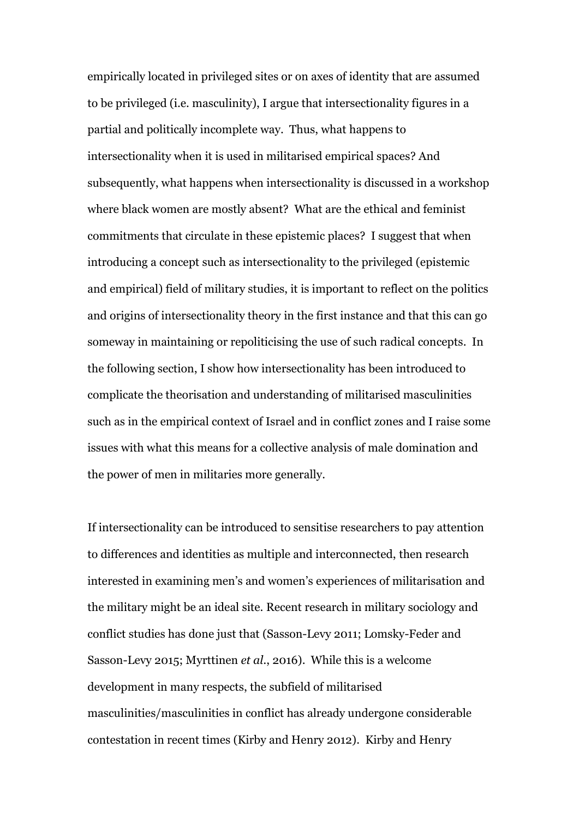empirically located in privileged sites or on axes of identity that are assumed to be privileged (i.e. masculinity), I argue that intersectionality figures in a partial and politically incomplete way. Thus, what happens to intersectionality when it is used in militarised empirical spaces? And subsequently, what happens when intersectionality is discussed in a workshop where black women are mostly absent? What are the ethical and feminist commitments that circulate in these epistemic places? I suggest that when introducing a concept such as intersectionality to the privileged (epistemic and empirical) field of military studies, it is important to reflect on the politics and origins of intersectionality theory in the first instance and that this can go someway in maintaining or repoliticising the use of such radical concepts. In the following section, I show how intersectionality has been introduced to complicate the theorisation and understanding of militarised masculinities such as in the empirical context of Israel and in conflict zones and I raise some issues with what this means for a collective analysis of male domination and the power of men in militaries more generally.

If intersectionality can be introduced to sensitise researchers to pay attention to differences and identities as multiple and interconnected, then research interested in examining men's and women's experiences of militarisation and the military might be an ideal site. Recent research in military sociology and conflict studies has done just that (Sasson-Levy 2011; Lomsky-Feder and Sasson-Levy 2015; Myrttinen *et al.*, 2016). While this is a welcome development in many respects, the subfield of militarised masculinities/masculinities in conflict has already undergone considerable contestation in recent times (Kirby and Henry 2012). Kirby and Henry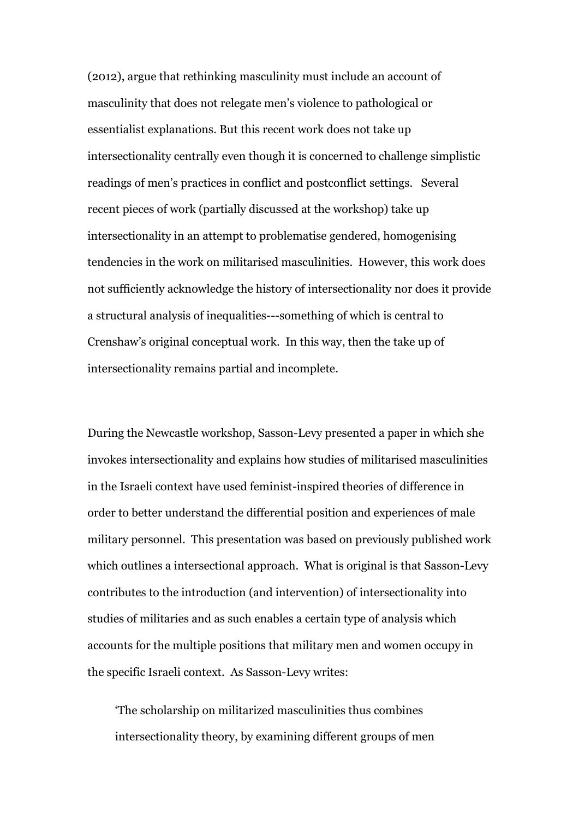(2012), argue that rethinking masculinity must include an account of masculinity that does not relegate men's violence to pathological or essentialist explanations. But this recent work does not take up intersectionality centrally even though it is concerned to challenge simplistic readings of men's practices in conflict and postconflict settings. Several recent pieces of work (partially discussed at the workshop) take up intersectionality in an attempt to problematise gendered, homogenising tendencies in the work on militarised masculinities. However, this work does not sufficiently acknowledge the history of intersectionality nor does it provide a structural analysis of inequalities---something of which is central to Crenshaw's original conceptual work. In this way, then the take up of intersectionality remains partial and incomplete.

During the Newcastle workshop, Sasson-Levy presented a paper in which she invokes intersectionality and explains how studies of militarised masculinities in the Israeli context have used feminist-inspired theories of difference in order to better understand the differential position and experiences of male military personnel. This presentation was based on previously published work which outlines a intersectional approach. What is original is that Sasson-Levy contributes to the introduction (and intervention) of intersectionality into studies of militaries and as such enables a certain type of analysis which accounts for the multiple positions that military men and women occupy in the specific Israeli context. As Sasson-Levy writes:

'The scholarship on militarized masculinities thus combines intersectionality theory, by examining different groups of men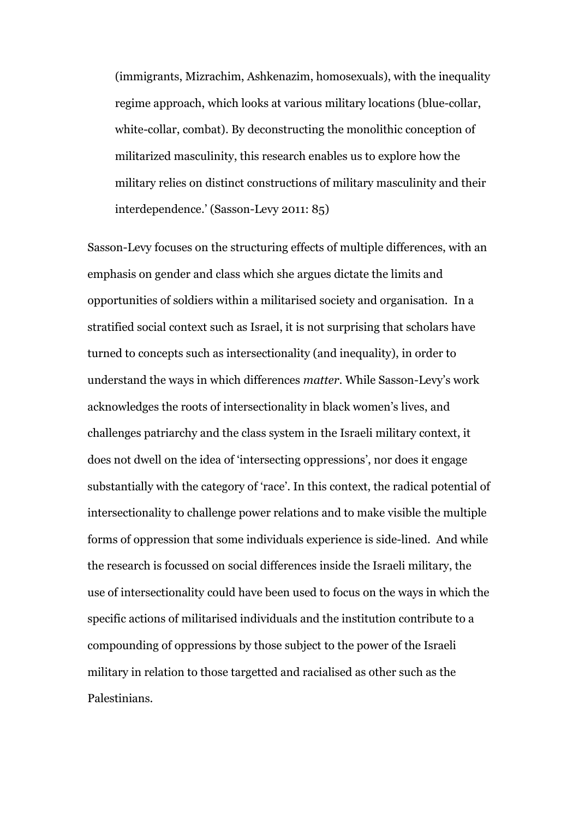(immigrants, Mizrachim, Ashkenazim, homosexuals), with the inequality regime approach, which looks at various military locations (blue-collar, white-collar, combat). By deconstructing the monolithic conception of militarized masculinity, this research enables us to explore how the military relies on distinct constructions of military masculinity and their interdependence.' (Sasson-Levy 2011: 85)

Sasson-Levy focuses on the structuring effects of multiple differences, with an emphasis on gender and class which she argues dictate the limits and opportunities of soldiers within a militarised society and organisation. In a stratified social context such as Israel, it is not surprising that scholars have turned to concepts such as intersectionality (and inequality), in order to understand the ways in which differences *matter*. While Sasson-Levy's work acknowledges the roots of intersectionality in black women's lives, and challenges patriarchy and the class system in the Israeli military context, it does not dwell on the idea of 'intersecting oppressions', nor does it engage substantially with the category of 'race'. In this context, the radical potential of intersectionality to challenge power relations and to make visible the multiple forms of oppression that some individuals experience is side-lined. And while the research is focussed on social differences inside the Israeli military, the use of intersectionality could have been used to focus on the ways in which the specific actions of militarised individuals and the institution contribute to a compounding of oppressions by those subject to the power of the Israeli military in relation to those targetted and racialised as other such as the Palestinians.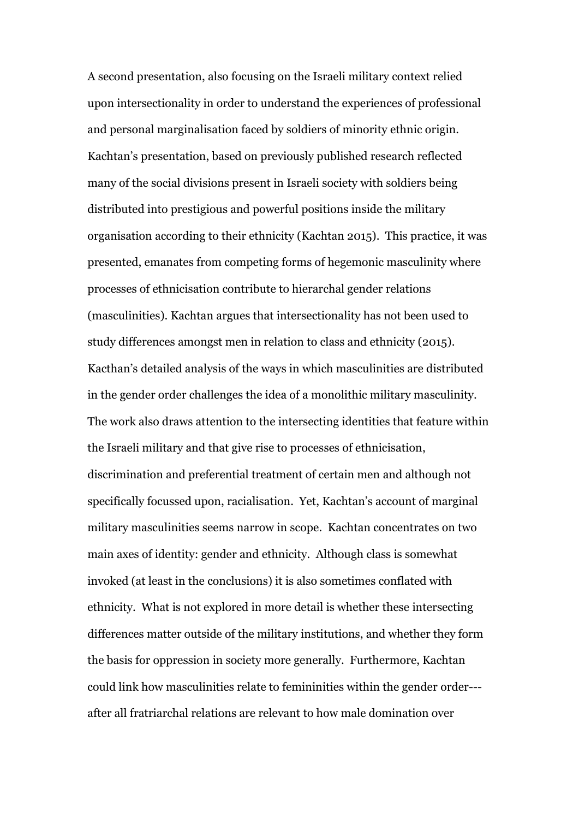A second presentation, also focusing on the Israeli military context relied upon intersectionality in order to understand the experiences of professional and personal marginalisation faced by soldiers of minority ethnic origin. Kachtan's presentation, based on previously published research reflected many of the social divisions present in Israeli society with soldiers being distributed into prestigious and powerful positions inside the military organisation according to their ethnicity (Kachtan 2015). This practice, it was presented, emanates from competing forms of hegemonic masculinity where processes of ethnicisation contribute to hierarchal gender relations (masculinities). Kachtan argues that intersectionality has not been used to study differences amongst men in relation to class and ethnicity (2015). Kacthan's detailed analysis of the ways in which masculinities are distributed in the gender order challenges the idea of a monolithic military masculinity. The work also draws attention to the intersecting identities that feature within the Israeli military and that give rise to processes of ethnicisation, discrimination and preferential treatment of certain men and although not specifically focussed upon, racialisation. Yet, Kachtan's account of marginal military masculinities seems narrow in scope. Kachtan concentrates on two main axes of identity: gender and ethnicity. Although class is somewhat invoked (at least in the conclusions) it is also sometimes conflated with ethnicity. What is not explored in more detail is whether these intersecting differences matter outside of the military institutions, and whether they form the basis for oppression in society more generally. Furthermore, Kachtan could link how masculinities relate to femininities within the gender order-- after all fratriarchal relations are relevant to how male domination over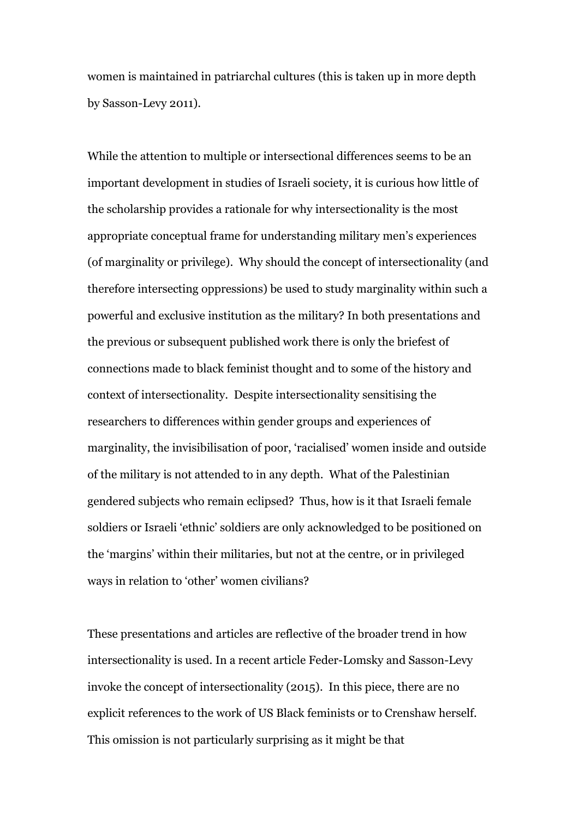women is maintained in patriarchal cultures (this is taken up in more depth by Sasson-Levy 2011).

While the attention to multiple or intersectional differences seems to be an important development in studies of Israeli society, it is curious how little of the scholarship provides a rationale for why intersectionality is the most appropriate conceptual frame for understanding military men's experiences (of marginality or privilege). Why should the concept of intersectionality (and therefore intersecting oppressions) be used to study marginality within such a powerful and exclusive institution as the military? In both presentations and the previous or subsequent published work there is only the briefest of connections made to black feminist thought and to some of the history and context of intersectionality. Despite intersectionality sensitising the researchers to differences within gender groups and experiences of marginality, the invisibilisation of poor, 'racialised' women inside and outside of the military is not attended to in any depth. What of the Palestinian gendered subjects who remain eclipsed? Thus, how is it that Israeli female soldiers or Israeli 'ethnic' soldiers are only acknowledged to be positioned on the 'margins' within their militaries, but not at the centre, or in privileged ways in relation to 'other' women civilians?

These presentations and articles are reflective of the broader trend in how intersectionality is used. In a recent article Feder-Lomsky and Sasson-Levy invoke the concept of intersectionality (2015). In this piece, there are no explicit references to the work of US Black feminists or to Crenshaw herself. This omission is not particularly surprising as it might be that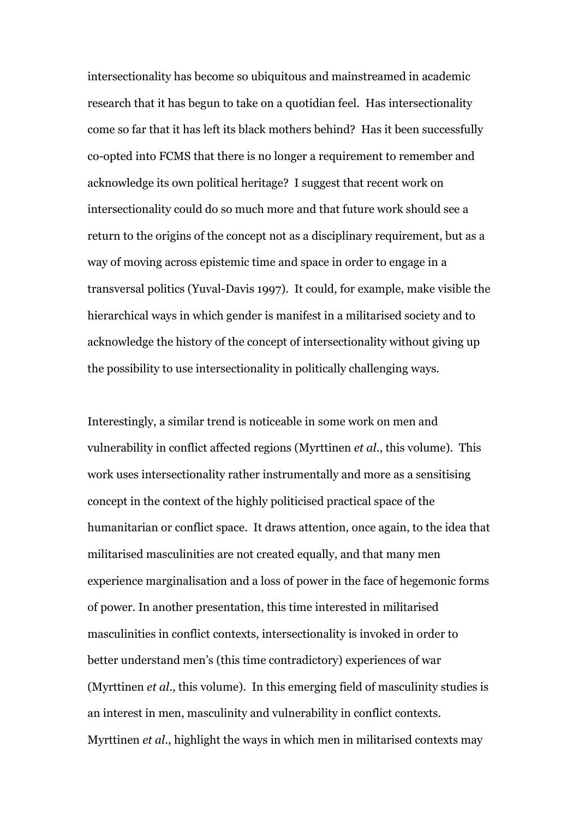intersectionality has become so ubiquitous and mainstreamed in academic research that it has begun to take on a quotidian feel. Has intersectionality come so far that it has left its black mothers behind? Has it been successfully co-opted into FCMS that there is no longer a requirement to remember and acknowledge its own political heritage? I suggest that recent work on intersectionality could do so much more and that future work should see a return to the origins of the concept not as a disciplinary requirement, but as a way of moving across epistemic time and space in order to engage in a transversal politics (Yuval-Davis 1997). It could, for example, make visible the hierarchical ways in which gender is manifest in a militarised society and to acknowledge the history of the concept of intersectionality without giving up the possibility to use intersectionality in politically challenging ways.

Interestingly, a similar trend is noticeable in some work on men and vulnerability in conflict affected regions (Myrttinen *et al*., this volume). This work uses intersectionality rather instrumentally and more as a sensitising concept in the context of the highly politicised practical space of the humanitarian or conflict space. It draws attention, once again, to the idea that militarised masculinities are not created equally, and that many men experience marginalisation and a loss of power in the face of hegemonic forms of power. In another presentation, this time interested in militarised masculinities in conflict contexts, intersectionality is invoked in order to better understand men's (this time contradictory) experiences of war (Myrttinen *et al*., this volume). In this emerging field of masculinity studies is an interest in men, masculinity and vulnerability in conflict contexts. Myrttinen *et al*., highlight the ways in which men in militarised contexts may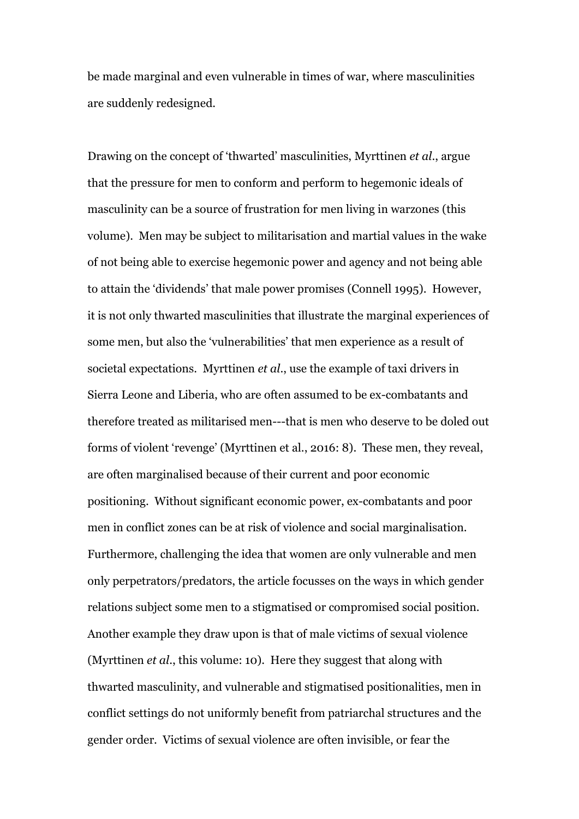be made marginal and even vulnerable in times of war, where masculinities are suddenly redesigned.

Drawing on the concept of 'thwarted' masculinities, Myrttinen *et al*., argue that the pressure for men to conform and perform to hegemonic ideals of masculinity can be a source of frustration for men living in warzones (this volume). Men may be subject to militarisation and martial values in the wake of not being able to exercise hegemonic power and agency and not being able to attain the 'dividends' that male power promises (Connell 1995). However, it is not only thwarted masculinities that illustrate the marginal experiences of some men, but also the 'vulnerabilities' that men experience as a result of societal expectations. Myrttinen *et al*., use the example of taxi drivers in Sierra Leone and Liberia, who are often assumed to be ex-combatants and therefore treated as militarised men---that is men who deserve to be doled out forms of violent 'revenge' (Myrttinen et al., 2016: 8). These men, they reveal, are often marginalised because of their current and poor economic positioning. Without significant economic power, ex-combatants and poor men in conflict zones can be at risk of violence and social marginalisation. Furthermore, challenging the idea that women are only vulnerable and men only perpetrators/predators, the article focusses on the ways in which gender relations subject some men to a stigmatised or compromised social position. Another example they draw upon is that of male victims of sexual violence (Myrttinen *et al*., this volume: 10). Here they suggest that along with thwarted masculinity, and vulnerable and stigmatised positionalities, men in conflict settings do not uniformly benefit from patriarchal structures and the gender order. Victims of sexual violence are often invisible, or fear the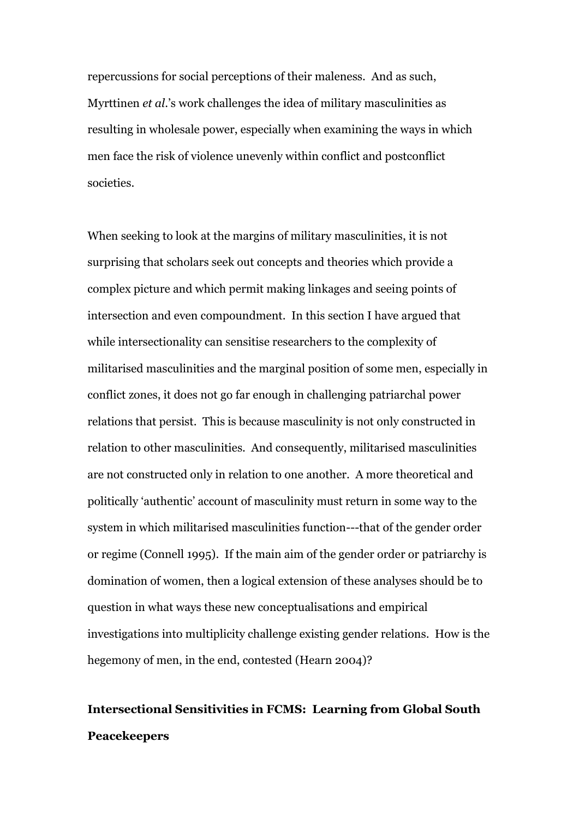repercussions for social perceptions of their maleness. And as such, Myrttinen *et al*.'s work challenges the idea of military masculinities as resulting in wholesale power, especially when examining the ways in which men face the risk of violence unevenly within conflict and postconflict societies.

When seeking to look at the margins of military masculinities, it is not surprising that scholars seek out concepts and theories which provide a complex picture and which permit making linkages and seeing points of intersection and even compoundment. In this section I have argued that while intersectionality can sensitise researchers to the complexity of militarised masculinities and the marginal position of some men, especially in conflict zones, it does not go far enough in challenging patriarchal power relations that persist. This is because masculinity is not only constructed in relation to other masculinities. And consequently, militarised masculinities are not constructed only in relation to one another. A more theoretical and politically 'authentic' account of masculinity must return in some way to the system in which militarised masculinities function---that of the gender order or regime (Connell 1995). If the main aim of the gender order or patriarchy is domination of women, then a logical extension of these analyses should be to question in what ways these new conceptualisations and empirical investigations into multiplicity challenge existing gender relations. How is the hegemony of men, in the end, contested (Hearn 2004)?

## **Intersectional Sensitivities in FCMS: Learning from Global South Peacekeepers**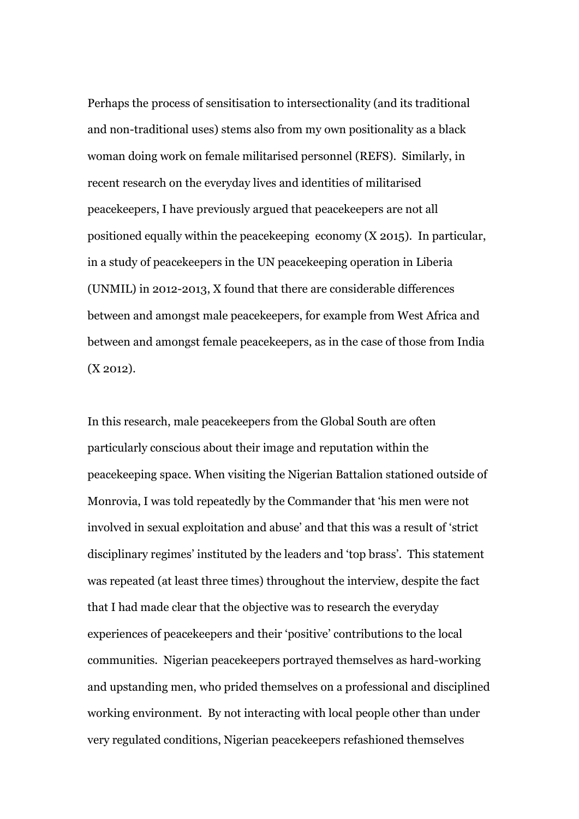Perhaps the process of sensitisation to intersectionality (and its traditional and non-traditional uses) stems also from my own positionality as a black woman doing work on female militarised personnel (REFS). Similarly, in recent research on the everyday lives and identities of militarised peacekeepers, I have previously argued that peacekeepers are not all positioned equally within the peacekeeping economy (X 2015). In particular, in a study of peacekeepers in the UN peacekeeping operation in Liberia (UNMIL) in 2012-2013, X found that there are considerable differences between and amongst male peacekeepers, for example from West Africa and between and amongst female peacekeepers, as in the case of those from India (X 2012).

In this research, male peacekeepers from the Global South are often particularly conscious about their image and reputation within the peacekeeping space. When visiting the Nigerian Battalion stationed outside of Monrovia, I was told repeatedly by the Commander that 'his men were not involved in sexual exploitation and abuse' and that this was a result of 'strict disciplinary regimes' instituted by the leaders and 'top brass'. This statement was repeated (at least three times) throughout the interview, despite the fact that I had made clear that the objective was to research the everyday experiences of peacekeepers and their 'positive' contributions to the local communities. Nigerian peacekeepers portrayed themselves as hard-working and upstanding men, who prided themselves on a professional and disciplined working environment. By not interacting with local people other than under very regulated conditions, Nigerian peacekeepers refashioned themselves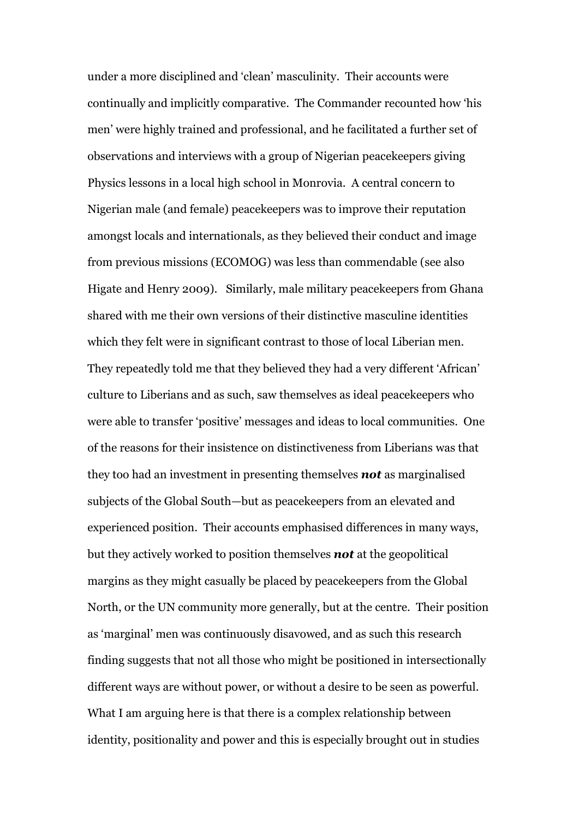under a more disciplined and 'clean' masculinity. Their accounts were continually and implicitly comparative. The Commander recounted how 'his men' were highly trained and professional, and he facilitated a further set of observations and interviews with a group of Nigerian peacekeepers giving Physics lessons in a local high school in Monrovia. A central concern to Nigerian male (and female) peacekeepers was to improve their reputation amongst locals and internationals, as they believed their conduct and image from previous missions (ECOMOG) was less than commendable (see also Higate and Henry 2009). Similarly, male military peacekeepers from Ghana shared with me their own versions of their distinctive masculine identities which they felt were in significant contrast to those of local Liberian men. They repeatedly told me that they believed they had a very different 'African' culture to Liberians and as such, saw themselves as ideal peacekeepers who were able to transfer 'positive' messages and ideas to local communities. One of the reasons for their insistence on distinctiveness from Liberians was that they too had an investment in presenting themselves *not* as marginalised subjects of the Global South—but as peacekeepers from an elevated and experienced position. Their accounts emphasised differences in many ways, but they actively worked to position themselves *not* at the geopolitical margins as they might casually be placed by peacekeepers from the Global North, or the UN community more generally, but at the centre. Their position as 'marginal' men was continuously disavowed, and as such this research finding suggests that not all those who might be positioned in intersectionally different ways are without power, or without a desire to be seen as powerful. What I am arguing here is that there is a complex relationship between identity, positionality and power and this is especially brought out in studies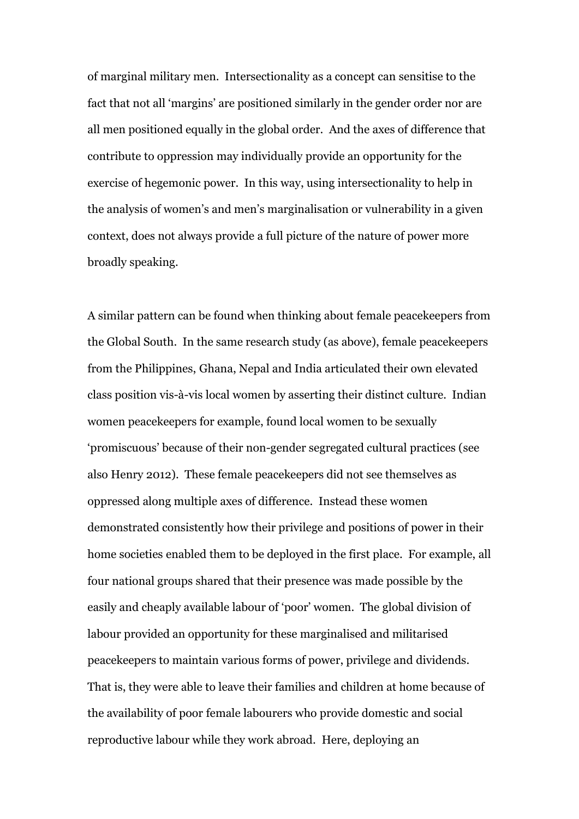of marginal military men. Intersectionality as a concept can sensitise to the fact that not all 'margins' are positioned similarly in the gender order nor are all men positioned equally in the global order. And the axes of difference that contribute to oppression may individually provide an opportunity for the exercise of hegemonic power. In this way, using intersectionality to help in the analysis of women's and men's marginalisation or vulnerability in a given context, does not always provide a full picture of the nature of power more broadly speaking.

A similar pattern can be found when thinking about female peacekeepers from the Global South. In the same research study (as above), female peacekeepers from the Philippines, Ghana, Nepal and India articulated their own elevated class position vis-à-vis local women by asserting their distinct culture. Indian women peacekeepers for example, found local women to be sexually 'promiscuous' because of their non-gender segregated cultural practices (see also Henry 2012). These female peacekeepers did not see themselves as oppressed along multiple axes of difference. Instead these women demonstrated consistently how their privilege and positions of power in their home societies enabled them to be deployed in the first place. For example, all four national groups shared that their presence was made possible by the easily and cheaply available labour of 'poor' women. The global division of labour provided an opportunity for these marginalised and militarised peacekeepers to maintain various forms of power, privilege and dividends. That is, they were able to leave their families and children at home because of the availability of poor female labourers who provide domestic and social reproductive labour while they work abroad. Here, deploying an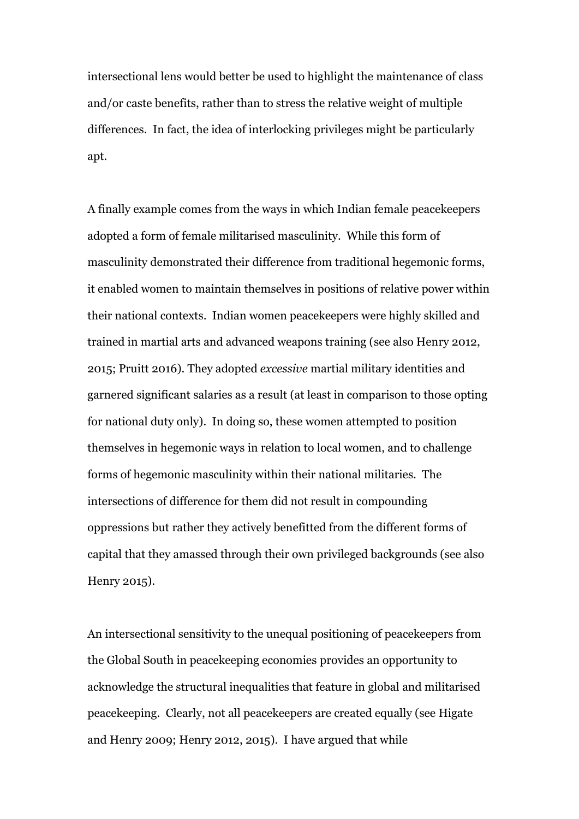intersectional lens would better be used to highlight the maintenance of class and/or caste benefits, rather than to stress the relative weight of multiple differences. In fact, the idea of interlocking privileges might be particularly apt.

A finally example comes from the ways in which Indian female peacekeepers adopted a form of female militarised masculinity. While this form of masculinity demonstrated their difference from traditional hegemonic forms, it enabled women to maintain themselves in positions of relative power within their national contexts. Indian women peacekeepers were highly skilled and trained in martial arts and advanced weapons training (see also Henry 2012, 2015; Pruitt 2016). They adopted *excessive* martial military identities and garnered significant salaries as a result (at least in comparison to those opting for national duty only). In doing so, these women attempted to position themselves in hegemonic ways in relation to local women, and to challenge forms of hegemonic masculinity within their national militaries. The intersections of difference for them did not result in compounding oppressions but rather they actively benefitted from the different forms of capital that they amassed through their own privileged backgrounds (see also Henry 2015).

An intersectional sensitivity to the unequal positioning of peacekeepers from the Global South in peacekeeping economies provides an opportunity to acknowledge the structural inequalities that feature in global and militarised peacekeeping. Clearly, not all peacekeepers are created equally (see Higate and Henry 2009; Henry 2012, 2015). I have argued that while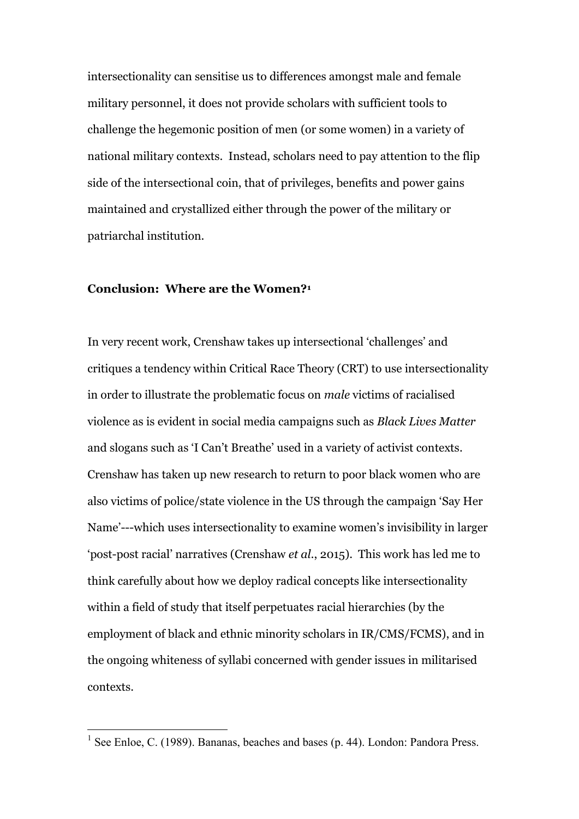intersectionality can sensitise us to differences amongst male and female military personnel, it does not provide scholars with sufficient tools to challenge the hegemonic position of men (or some women) in a variety of national military contexts. Instead, scholars need to pay attention to the flip side of the intersectional coin, that of privileges, benefits and power gains maintained and crystallized either through the power of the military or patriarchal institution.

#### **Conclusion: Where are the Women?<sup>1</sup>**

1

In very recent work, Crenshaw takes up intersectional 'challenges' and critiques a tendency within Critical Race Theory (CRT) to use intersectionality in order to illustrate the problematic focus on *male* victims of racialised violence as is evident in social media campaigns such as *Black Lives Matter* and slogans such as 'I Can't Breathe' used in a variety of activist contexts. Crenshaw has taken up new research to return to poor black women who are also victims of police/state violence in the US through the campaign 'Say Her Name'---which uses intersectionality to examine women's invisibility in larger 'post-post racial' narratives (Crenshaw *et al.*, 2015). This work has led me to think carefully about how we deploy radical concepts like intersectionality within a field of study that itself perpetuates racial hierarchies (by the employment of black and ethnic minority scholars in IR/CMS/FCMS), and in the ongoing whiteness of syllabi concerned with gender issues in militarised contexts.

<sup>&</sup>lt;sup>1</sup> See Enloe, C. (1989). Bananas, beaches and bases (p. 44). London: Pandora Press.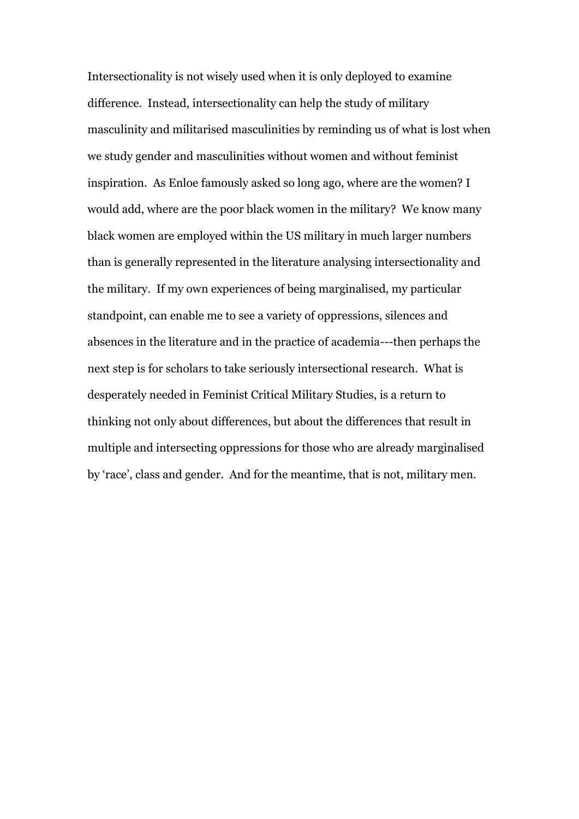Intersectionality is not wisely used when it is only deployed to examine difference. Instead, intersectionality can help the study of military masculinity and militarised masculinities by reminding us of what is lost when we study gender and masculinities without women and without feminist inspiration. As Enloe famously asked so long ago, where are the women? I would add, where are the poor black women in the military? We know many black women are employed within the US military in much larger numbers than is generally represented in the literature analysing intersectionality and the military. If my own experiences of being marginalised, my particular standpoint, can enable me to see a variety of oppressions, silences and absences in the literature and in the practice of academia---then perhaps the next step is for scholars to take seriously intersectional research. What is desperately needed in Feminist Critical Military Studies, is a return to thinking not only about differences, but about the differences that result in multiple and intersecting oppressions for those who are already marginalised by 'race', class and gender. And for the meantime, that is not, military men.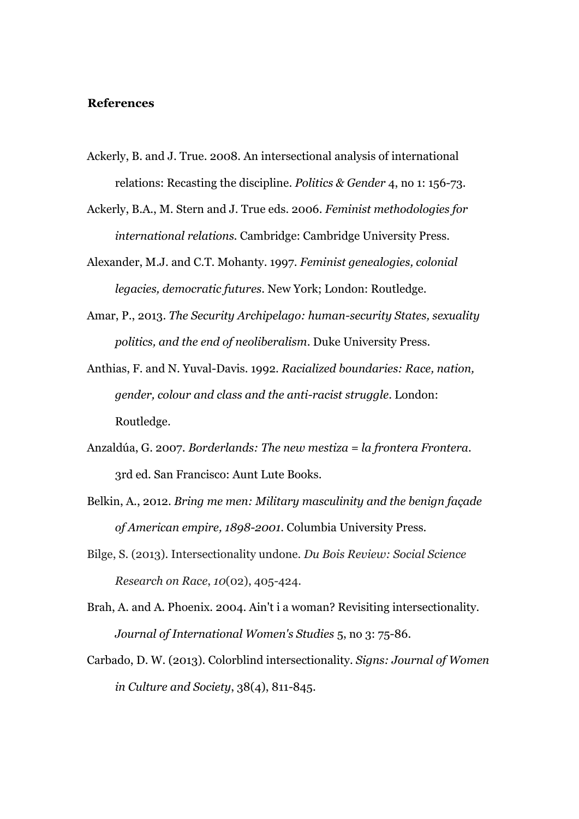#### **References**

- Ackerly, B. and J. True. 2008. An intersectional analysis of international relations: Recasting the discipline. *Politics & Gender* 4, no 1: 156-73.
- Ackerly, B.A., M. Stern and J. True eds. 2006. *Feminist methodologies for international relations.* Cambridge: Cambridge University Press.
- Alexander, M.J. and C.T. Mohanty. 1997. *Feminist genealogies, colonial legacies, democratic futures*. New York; London: Routledge.
- Amar, P., 2013. *The Security Archipelago: human-security States, sexuality politics, and the end of neoliberalism*. Duke University Press.
- Anthias, F. and N. Yuval-Davis. 1992. *Racialized boundaries: Race, nation, gender, colour and class and the anti-racist struggle*. London: Routledge.
- Anzaldúa, G. 2007. *Borderlands: The new mestiza = la frontera Frontera*. 3rd ed. San Francisco: Aunt Lute Books.
- Belkin, A., 2012. *Bring me men: Military masculinity and the benign façade of American empire, 1898-2001*. Columbia University Press.
- Bilge, S. (2013). Intersectionality undone. *Du Bois Review: Social Science Research on Race*, *10*(02), 405-424.
- Brah, A. and A. Phoenix. 2004. Ain't i a woman? Revisiting intersectionality. *Journal of International Women's Studies* 5, no 3: 75-86.
- Carbado, D. W. (2013). Colorblind intersectionality. *Signs: Journal of Women in Culture and Society*, 38(4), 811-845.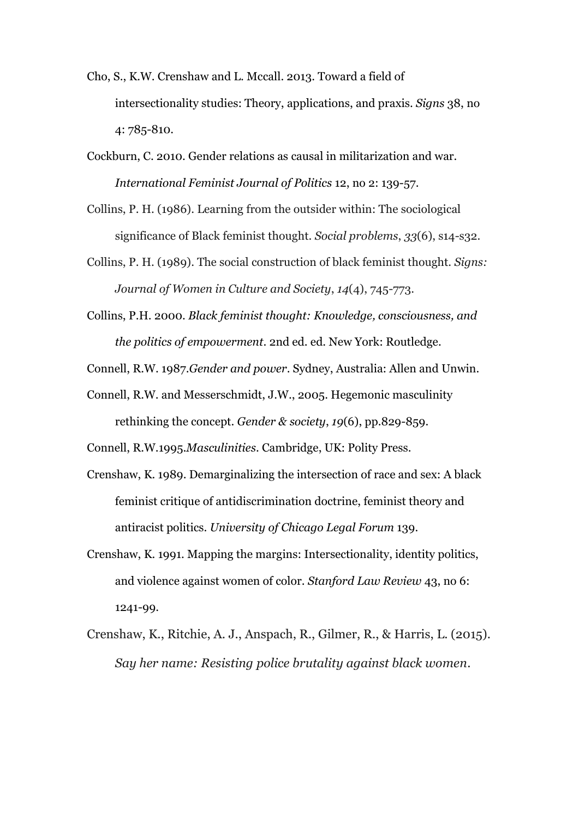- Cho, S., K.W. Crenshaw and L. Mccall. 2013. Toward a field of intersectionality studies: Theory, applications, and praxis. *Signs* 38, no 4: 785-810.
- Cockburn, C. 2010. Gender relations as causal in militarization and war. *International Feminist Journal of Politics* 12, no 2: 139-57.
- Collins, P. H. (1986). Learning from the outsider within: The sociological significance of Black feminist thought. *Social problems*, *33*(6), s14-s32.
- Collins, P. H. (1989). The social construction of black feminist thought. *Signs: Journal of Women in Culture and Society*, *14*(4), 745-773.
- Collins, P.H. 2000. *Black feminist thought: Knowledge, consciousness, and the politics of empowerment*. 2nd ed. ed. New York: Routledge.
- Connell, R.W. 1987.*Gender and power*. Sydney, Australia: Allen and Unwin.

Connell, R.W. and Messerschmidt, J.W., 2005. Hegemonic masculinity rethinking the concept. *Gender & society*, *19*(6), pp.829-859.

Connell, R.W.1995.*Masculinities*. Cambridge, UK: Polity Press.

- Crenshaw, K. 1989. Demarginalizing the intersection of race and sex: A black feminist critique of antidiscrimination doctrine, feminist theory and antiracist politics. *University of Chicago Legal Forum* 139.
- Crenshaw, K. 1991. Mapping the margins: Intersectionality, identity politics, and violence against women of color. *Stanford Law Review* 43, no 6: 1241-99.
- Crenshaw, K., Ritchie, A. J., Anspach, R., Gilmer, R., & Harris, L. (2015). *Say her name: Resisting police brutality against black women*.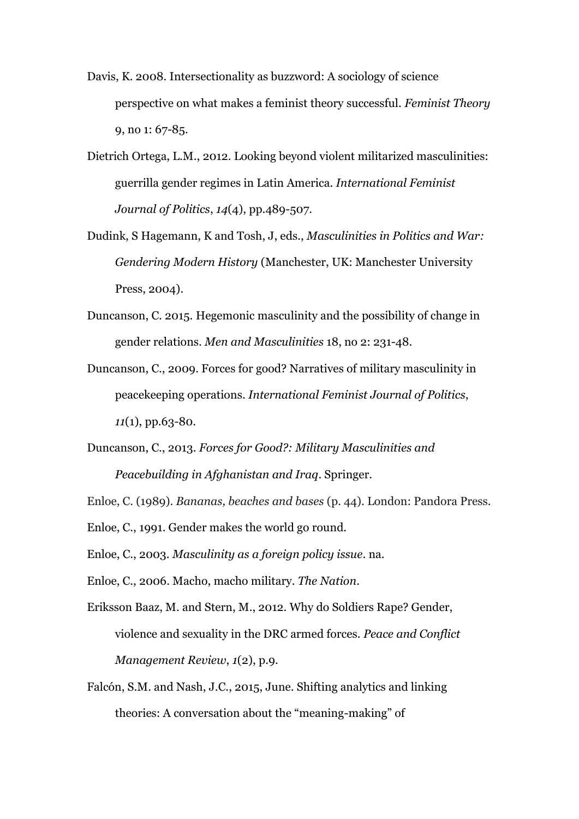- Davis, K. 2008. Intersectionality as buzzword: A sociology of science perspective on what makes a feminist theory successful. *Feminist Theory* 9, no 1: 67-85.
- Dietrich Ortega, L.M., 2012. Looking beyond violent militarized masculinities: guerrilla gender regimes in Latin America. *International Feminist Journal of Politics*, *14*(4), pp.489-507.
- Dudink, S Hagemann, K and Tosh, J, eds., *Masculinities in Politics and War: Gendering Modern History* (Manchester, UK: Manchester University Press, 2004).
- Duncanson, C. 2015. Hegemonic masculinity and the possibility of change in gender relations. *Men and Masculinities* 18, no 2: 231-48.
- Duncanson, C., 2009. Forces for good? Narratives of military masculinity in peacekeeping operations. *International Feminist Journal of Politics*, *11*(1), pp.63-80.
- Duncanson, C., 2013. *Forces for Good?: Military Masculinities and Peacebuilding in Afghanistan and Iraq*. Springer.
- Enloe, C. (1989). *Bananas, beaches and bases* (p. 44). London: Pandora Press.
- Enloe, C., 1991. Gender makes the world go round.
- Enloe, C., 2003. *Masculinity as a foreign policy issue*. na.
- Enloe, C., 2006. Macho, macho military. *The Nation*.
- Eriksson Baaz, M. and Stern, M., 2012. Why do Soldiers Rape? Gender, violence and sexuality in the DRC armed forces. *Peace and Conflict Management Review*, *1*(2), p.9.
- Falcón, S.M. and Nash, J.C., 2015, June. Shifting analytics and linking theories: A conversation about the "meaning-making" of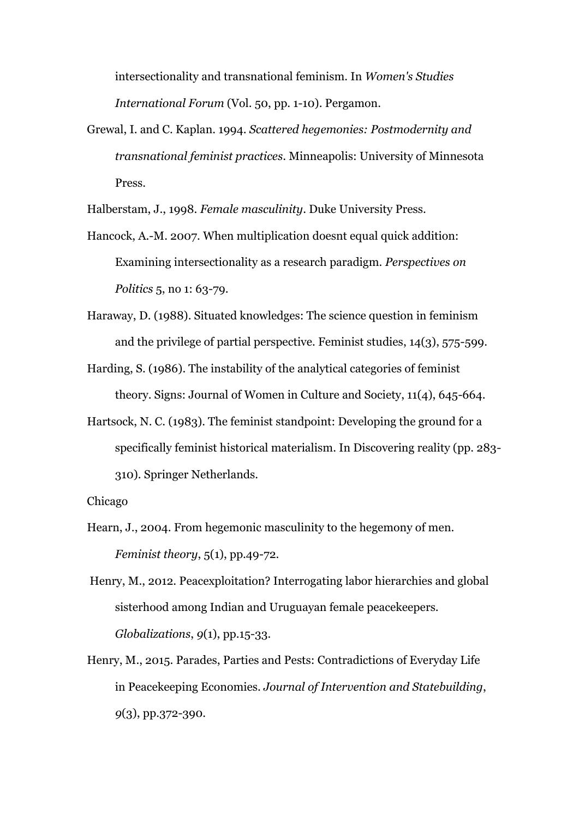intersectionality and transnational feminism. In *Women's Studies International Forum* (Vol. 50, pp. 1-10). Pergamon.

Grewal, I. and C. Kaplan. 1994. *Scattered hegemonies: Postmodernity and transnational feminist practices*. Minneapolis: University of Minnesota Press.

Halberstam, J., 1998. *Female masculinity*. Duke University Press.

- Hancock, A.-M. 2007. When multiplication doesnt equal quick addition: Examining intersectionality as a research paradigm. *Perspectives on Politics* 5, no 1: 63-79.
- Haraway, D. (1988). Situated knowledges: The science question in feminism and the privilege of partial perspective. Feminist studies, 14(3), 575-599.
- Harding, S. (1986). The instability of the analytical categories of feminist theory. Signs: Journal of Women in Culture and Society, 11(4), 645-664.
- Hartsock, N. C. (1983). The feminist standpoint: Developing the ground for a specifically feminist historical materialism. In Discovering reality (pp. 283- 310). Springer Netherlands.

Chicago

- Hearn, J., 2004. From hegemonic masculinity to the hegemony of men. *Feminist theory*, 5(1), pp.49-72.
- Henry, M., 2012. Peacexploitation? Interrogating labor hierarchies and global sisterhood among Indian and Uruguayan female peacekeepers. *Globalizations*, *9*(1), pp.15-33.
- Henry, M., 2015. Parades, Parties and Pests: Contradictions of Everyday Life in Peacekeeping Economies. *Journal of Intervention and Statebuilding*, *9*(3), pp.372-390.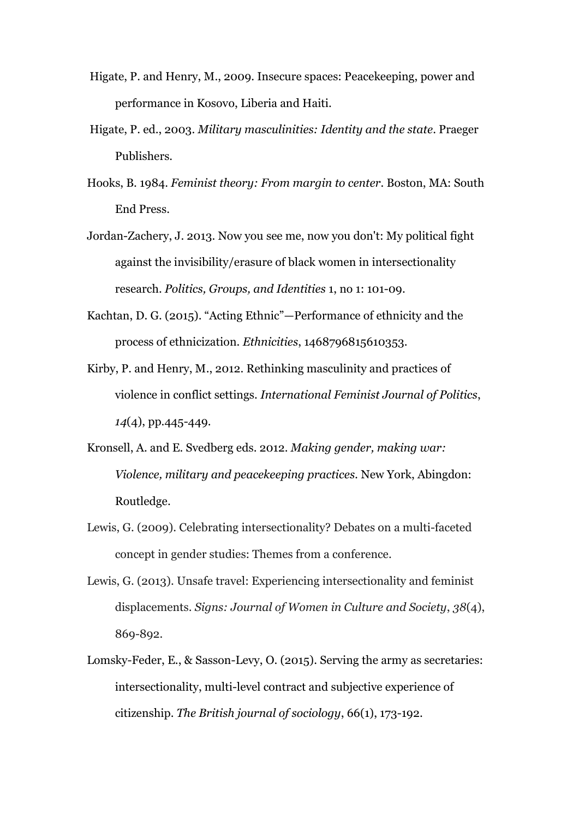- Higate, P. and Henry, M., 2009. Insecure spaces: Peacekeeping, power and performance in Kosovo, Liberia and Haiti.
- Higate, P. ed., 2003. *Military masculinities: Identity and the state*. Praeger Publishers.
- Hooks, B. 1984. *Feminist theory: From margin to center*. Boston, MA: South End Press.
- Jordan-Zachery, J. 2013. Now you see me, now you don't: My political fight against the invisibility/erasure of black women in intersectionality research. *Politics, Groups, and Identities* 1, no 1: 101-09.
- Kachtan, D. G. (2015). "Acting Ethnic"—Performance of ethnicity and the process of ethnicization. *Ethnicities*, 1468796815610353.
- Kirby, P. and Henry, M., 2012. Rethinking masculinity and practices of violence in conflict settings. *International Feminist Journal of Politics*, *14*(4), pp.445-449.
- Kronsell, A. and E. Svedberg eds. 2012. *Making gender, making war: Violence, military and peacekeeping practices.* New York, Abingdon: Routledge.
- Lewis, G. (2009). Celebrating intersectionality? Debates on a multi-faceted concept in gender studies: Themes from a conference.
- Lewis, G. (2013). Unsafe travel: Experiencing intersectionality and feminist displacements. *Signs: Journal of Women in Culture and Society*, *38*(4), 869-892.
- Lomsky-Feder, E., & Sasson-Levy, O. (2015). Serving the army as secretaries: intersectionality, multi-level contract and subjective experience of citizenship. *The British journal of sociology*, 66(1), 173-192.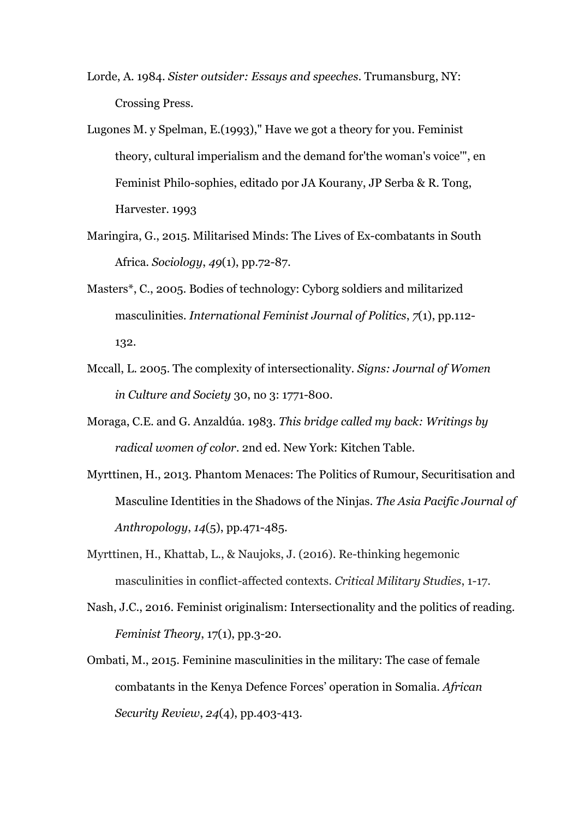- Lorde, A. 1984. *Sister outsider: Essays and speeches*. Trumansburg, NY: Crossing Press.
- Lugones M. y Spelman, E.(1993)," Have we got a theory for you. Feminist theory, cultural imperialism and the demand for'the woman's voice'", en Feminist Philo-sophies, editado por JA Kourany, JP Serba & R. Tong, Harvester. 1993
- Maringira, G., 2015. Militarised Minds: The Lives of Ex-combatants in South Africa. *Sociology*, *49*(1), pp.72-87.
- Masters\*, C., 2005. Bodies of technology: Cyborg soldiers and militarized masculinities. *International Feminist Journal of Politics*, *7*(1), pp.112- 132.
- Mccall, L. 2005. The complexity of intersectionality. *Signs: Journal of Women in Culture and Society* 30, no 3: 1771-800.
- Moraga, C.E. and G. Anzaldúa. 1983. *This bridge called my back: Writings by radical women of color*. 2nd ed. New York: Kitchen Table.
- Myrttinen, H., 2013. Phantom Menaces: The Politics of Rumour, Securitisation and Masculine Identities in the Shadows of the Ninjas. *The Asia Pacific Journal of Anthropology*, *14*(5), pp.471-485.
- Myrttinen, H., Khattab, L., & Naujoks, J. (2016). Re-thinking hegemonic masculinities in conflict-affected contexts. *Critical Military Studies*, 1-17.
- Nash, J.C., 2016. Feminist originalism: Intersectionality and the politics of reading. *Feminist Theory*, 17(1), pp.3-20.
- Ombati, M., 2015. Feminine masculinities in the military: The case of female combatants in the Kenya Defence Forces' operation in Somalia. *African Security Review*, *24*(4), pp.403-413.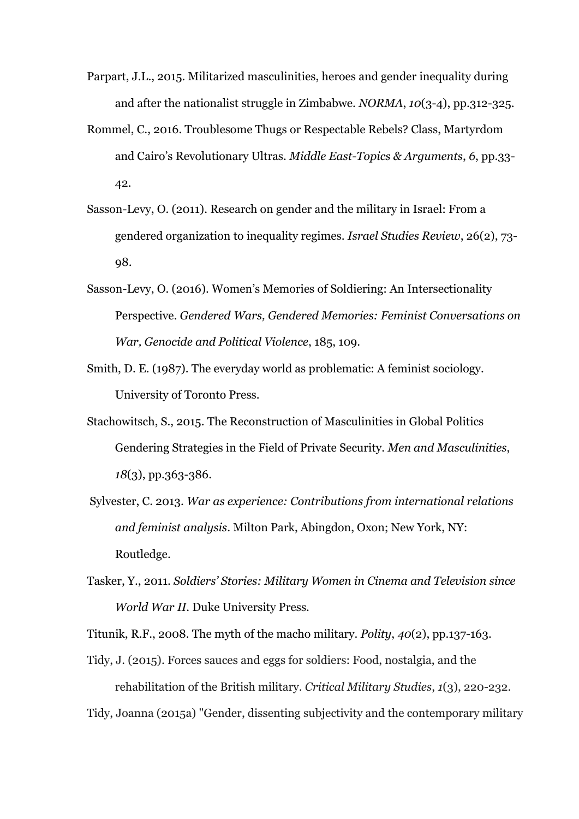- Parpart, J.L., 2015. Militarized masculinities, heroes and gender inequality during and after the nationalist struggle in Zimbabwe. *NORMA*, *10*(3-4), pp.312-325.
- Rommel, C., 2016. Troublesome Thugs or Respectable Rebels? Class, Martyrdom and Cairo's Revolutionary Ultras. *Middle East-Topics & Arguments*, *6*, pp.33- 42.
- Sasson-Levy, O. (2011). Research on gender and the military in Israel: From a gendered organization to inequality regimes. *Israel Studies Review*, 26(2), 73- 98.
- Sasson-Levy, O. (2016). Women's Memories of Soldiering: An Intersectionality Perspective. *Gendered Wars, Gendered Memories: Feminist Conversations on War, Genocide and Political Violence*, 185, 109.
- Smith, D. E. (1987). The everyday world as problematic: A feminist sociology. University of Toronto Press.
- Stachowitsch, S., 2015. The Reconstruction of Masculinities in Global Politics Gendering Strategies in the Field of Private Security. *Men and Masculinities*, *18*(3), pp.363-386.
- Sylvester, C. 2013. *War as experience: Contributions from international relations and feminist analysis*. Milton Park, Abingdon, Oxon; New York, NY: Routledge.
- Tasker, Y., 2011. *Soldiers' Stories: Military Women in Cinema and Television since World War II*. Duke University Press.

Titunik, R.F., 2008. The myth of the macho military. *Polity*, *40*(2), pp.137-163.

Tidy, J. (2015). Forces sauces and eggs for soldiers: Food, nostalgia, and the rehabilitation of the British military. *Critical Military Studies*, *1*(3), 220-232.

Tidy, Joanna (2015a) "Gender, dissenting subjectivity and the contemporary military